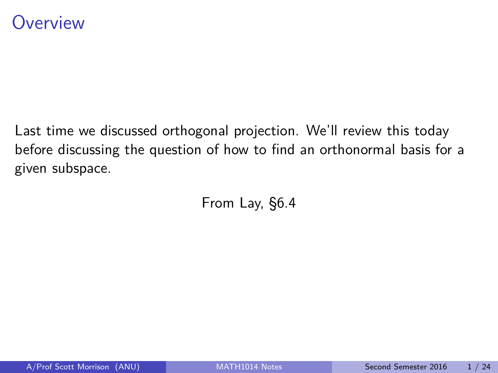### <span id="page-0-0"></span>**Overview**

Last time we discussed orthogonal projection. We'll review this today before discussing the question of how to find an orthonormal basis for a given subspace.

From Lay, §6.4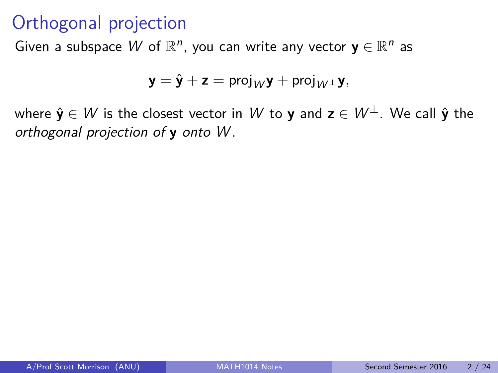## Orthogonal projection

Given a subspace W of  $\mathbb{R}^n$ , you can write any vector  $y \in \mathbb{R}^n$  as

$$
\mathbf{y} = \hat{\mathbf{y}} + \mathbf{z} = \text{proj}_W \mathbf{y} + \text{proj}_{W^{\perp}} \mathbf{y},
$$

where  $\hat{\mathbf{y}} \in W$  is the closest vector in W to **y** and  $\mathbf{z} \in W^{\perp}$ . We call  $\hat{\mathbf{y}}$  the orthogonal projection of **y** onto W .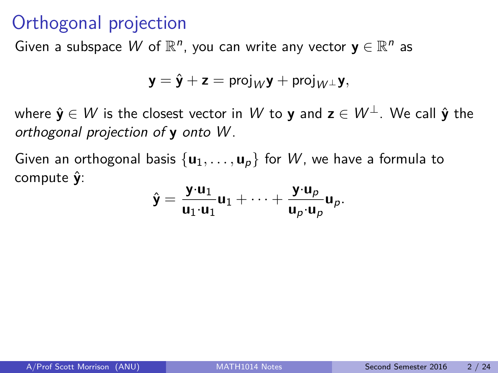## Orthogonal projection

Given a subspace W of  $\mathbb{R}^n$ , you can write any vector  $y \in \mathbb{R}^n$  as

$$
\mathbf{y} = \hat{\mathbf{y}} + \mathbf{z} = \text{proj}_W \mathbf{y} + \text{proj}_{W^{\perp}} \mathbf{y},
$$

where  $\hat{\mathbf{y}} \in W$  is the closest vector in W to **y** and  $\mathbf{z} \in W^{\perp}$ . We call  $\hat{\mathbf{y}}$  the orthogonal projection of **y** onto W .

Given an orthogonal basis  $\{u_1, \ldots, u_p\}$  for W, we have a formula to compute **y**ˆ:

$$
\hat{\textbf{y}} = \frac{\textbf{y} \cdot \textbf{u}_1}{\textbf{u}_1 \cdot \textbf{u}_1} \textbf{u}_1 + \cdots + \frac{\textbf{y} \cdot \textbf{u}_p}{\textbf{u}_p \cdot \textbf{u}_p} \textbf{u}_p.
$$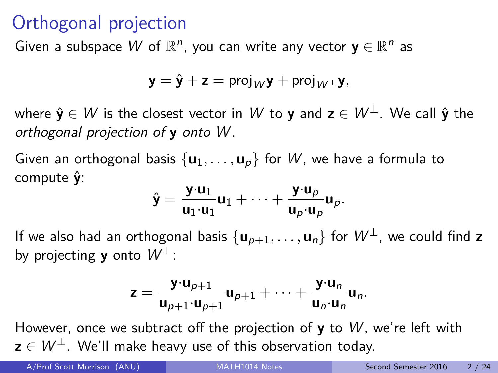# Orthogonal projection

Given a subspace W of  $\mathbb{R}^n$ , you can write any vector  $y \in \mathbb{R}^n$  as

$$
\mathbf{y} = \hat{\mathbf{y}} + \mathbf{z} = \text{proj}_W \mathbf{y} + \text{proj}_{W^{\perp}} \mathbf{y},
$$

where  $\hat{\mathbf{y}} \in W$  is the closest vector in W to **y** and  $\mathbf{z} \in W^{\perp}$ . We call  $\hat{\mathbf{y}}$  the orthogonal projection of **y** onto W .

Given an orthogonal basis  $\{u_1, \ldots, u_p\}$  for W, we have a formula to compute **y**ˆ:

$$
\hat{\mathbf{y}} = \frac{\mathbf{y} \cdot \mathbf{u}_1}{\mathbf{u}_1 \cdot \mathbf{u}_1} \mathbf{u}_1 + \cdots + \frac{\mathbf{y} \cdot \mathbf{u}_p}{\mathbf{u}_p \cdot \mathbf{u}_p} \mathbf{u}_p.
$$

If we also had an orthogonal basis  $\{u_{p+1}, \ldots, u_n\}$  for  $W^{\perp}$ , we could find **z** by projecting **y** onto  $W^{\perp}$ :

$$
z = \frac{y \cdot u_{p+1}}{u_{p+1} \cdot u_{p+1}} u_{p+1} + \cdots + \frac{y \cdot u_n}{u_n \cdot u_n} u_n.
$$

However, once we subtract off the projection of **y** to W , we're left with  $z \in W^{\perp}$ . We'll make heavy use of this observation today.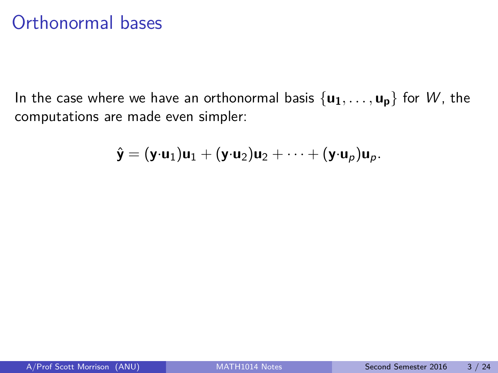### Orthonormal bases

In the case where we have an orthonormal basis  $\{u_1, \ldots, u_n\}$  for W, the computations are made even simpler:

$$
\hat{\mathbf{y}} = (\mathbf{y} \cdot \mathbf{u}_1) \mathbf{u}_1 + (\mathbf{y} \cdot \mathbf{u}_2) \mathbf{u}_2 + \cdots + (\mathbf{y} \cdot \mathbf{u}_p) \mathbf{u}_p.
$$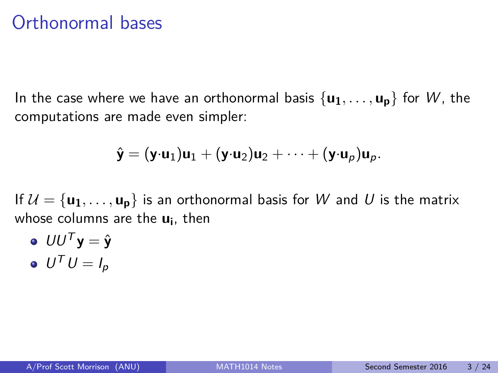### Orthonormal bases

In the case where we have an orthonormal basis  $\{u_1, \ldots, u_p\}$  for W, the computations are made even simpler:

$$
\hat{\mathbf{y}} = (\mathbf{y} \cdot \mathbf{u}_1)\mathbf{u}_1 + (\mathbf{y} \cdot \mathbf{u}_2)\mathbf{u}_2 + \cdots + (\mathbf{y} \cdot \mathbf{u}_p)\mathbf{u}_p.
$$

If  $U = {\bf{u_1}, \ldots, u_p}$  is an orthonormal basis for W and U is the matrix whose columns are the **u<sup>i</sup>** , then

 $\mathbf{U} \mathbf{U}^{\mathsf{T}} \mathbf{y} = \hat{\mathbf{y}}$  $U^{\mathsf{T}} U = I_p$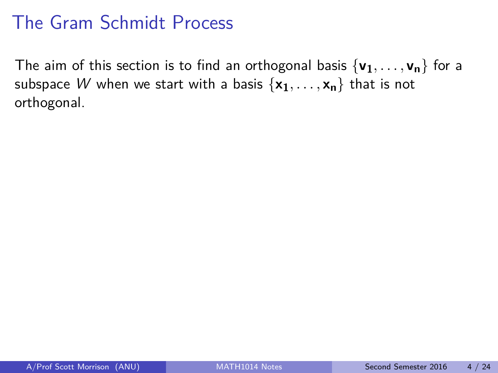The aim of this section is to find an orthogonal basis  $\{v_1, \ldots, v_n\}$  for a subspace W when we start with a basis  $\{x_1, \ldots, x_n\}$  that is not orthogonal.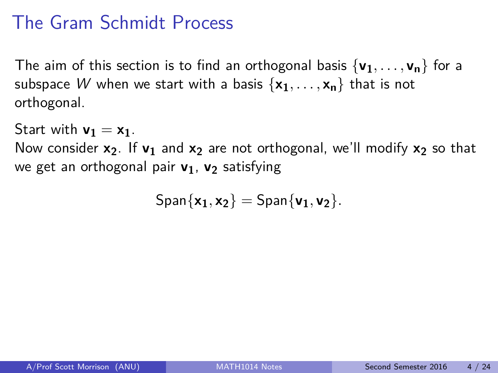The aim of this section is to find an orthogonal basis  $\{v_1, \ldots, v_n\}$  for a subspace W when we start with a basis  $\{x_1, \ldots, x_n\}$  that is not orthogonal.

Start with  $v_1 = x_1$ .

Now consider **x2**. If **v<sup>1</sup>** and **x<sup>2</sup>** are not orthogonal, we'll modify **x<sup>2</sup>** so that we get an orthogonal pair **v1**, **v<sup>2</sup>** satisfying

 $\text{Span}\{\mathbf{x}_1, \mathbf{x}_2\} = \text{Span}\{\mathbf{v}_1, \mathbf{v}_2\}.$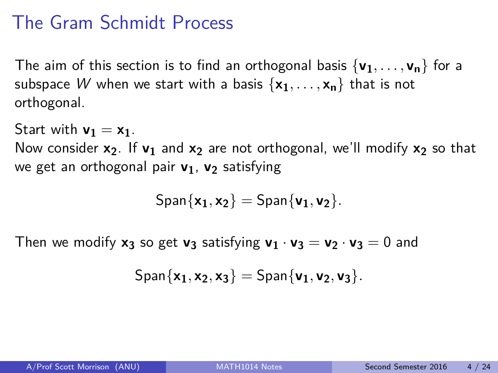The aim of this section is to find an orthogonal basis  $\{v_1, \ldots, v_n\}$  for a subspace W when we start with a basis  $\{x_1, \ldots, x_n\}$  that is not orthogonal.

Start with  $v_1 = x_1$ .

Now consider **x2**. If **v<sup>1</sup>** and **x<sup>2</sup>** are not orthogonal, we'll modify **x<sup>2</sup>** so that we get an orthogonal pair **v1**, **v<sup>2</sup>** satisfying

$$
\mathsf{Span}\{x_1,x_2\}=\mathsf{Span}\{v_1,v_2\}.
$$

Then we modify  $x_3$  so get  $v_3$  satisfying  $v_1 \cdot v_3 = v_2 \cdot v_3 = 0$  and

$$
\text{Span}\{x_1,x_2,x_3\}=\text{Span}\{v_1,v_2,v_3\}.
$$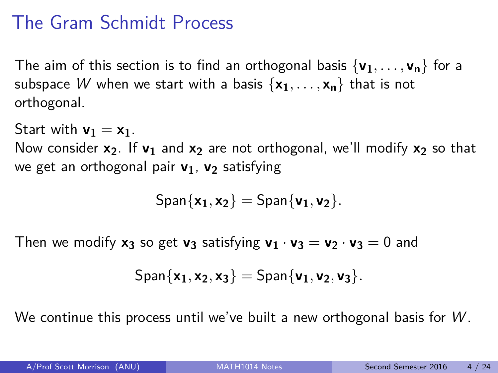The aim of this section is to find an orthogonal basis  $\{v_1, \ldots, v_n\}$  for a subspace W when we start with a basis  $\{x_1, \ldots, x_n\}$  that is not orthogonal.

Start with  $v_1 = x_1$ .

Now consider **x2**. If **v<sup>1</sup>** and **x<sup>2</sup>** are not orthogonal, we'll modify **x<sup>2</sup>** so that we get an orthogonal pair **v1**, **v<sup>2</sup>** satisfying

$$
\mathsf{Span}\{x_1,x_2\}=\mathsf{Span}\{v_1,v_2\}.
$$

Then we modify  $x_3$  so get  $v_3$  satisfying  $v_1 \cdot v_3 = v_2 \cdot v_3 = 0$  and

$$
\text{Span}\{x_1,x_2,x_3\}=\text{Span}\{v_1,v_2,v_3\}.
$$

We continue this process until we've built a new orthogonal basis for  $W$ .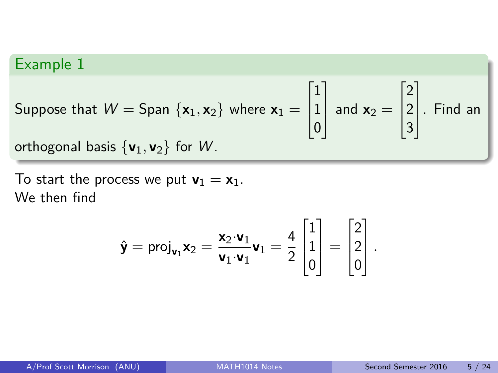Suppose that  $W =$  Span  $\{x_1, x_2\}$  where  $x_1 =$  $\sqrt{ }$  $\Big\}$ 1 1 0 1 and  $\mathbf{x}_2 =$  $\sqrt{ }$  $\overline{\phantom{a}}$ 2 2 3 1  $\vert$  . Find an orthogonal basis  $\{v_1, v_2\}$  for W.

To start the process we put  $\mathbf{v}_1 = \mathbf{x}_1$ . We then find

$$
\hat{\mathbf{y}} = \text{proj}_{\mathbf{v}_1} \mathbf{x}_2 = \frac{\mathbf{x}_2 \cdot \mathbf{v}_1}{\mathbf{v}_1 \cdot \mathbf{v}_1} \mathbf{v}_1 = \frac{4}{2} \begin{bmatrix} 1 \\ 1 \\ 0 \end{bmatrix} = \begin{bmatrix} 2 \\ 2 \\ 0 \end{bmatrix}.
$$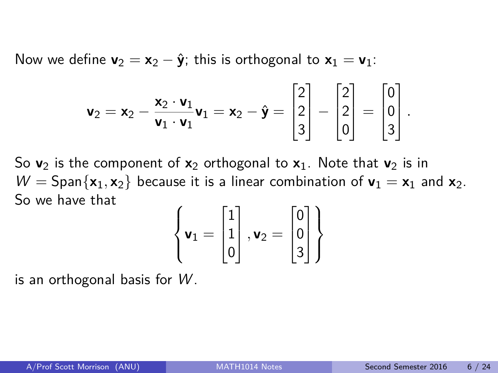Now we define  $\mathbf{v}_2 = \mathbf{x}_2 - \hat{\mathbf{y}}$ ; this is orthogonal to  $\mathbf{x}_1 = \mathbf{v}_1$ :

$$
\mathbf{v}_2 = \mathbf{x}_2 - \frac{\mathbf{x}_2 \cdot \mathbf{v}_1}{\mathbf{v}_1 \cdot \mathbf{v}_1} \mathbf{v}_1 = \mathbf{x}_2 - \hat{\mathbf{y}} = \begin{bmatrix} 2 \\ 2 \\ 3 \end{bmatrix} - \begin{bmatrix} 2 \\ 2 \\ 0 \end{bmatrix} = \begin{bmatrix} 0 \\ 0 \\ 3 \end{bmatrix}.
$$

So  $v_2$  is the component of  $x_2$  orthogonal to  $x_1$ . Note that  $v_2$  is in  $W =$  Span $\{x_1, x_2\}$  because it is a linear combination of  $v_1 = x_1$  and  $x_2$ . So we have that

$$
\left\{ \mathbf{v}_1 = \begin{bmatrix} 1 \\ 1 \\ 0 \end{bmatrix}, \mathbf{v}_2 = \begin{bmatrix} 0 \\ 0 \\ 3 \end{bmatrix} \right\}
$$

is an orthogonal basis for  $W$ .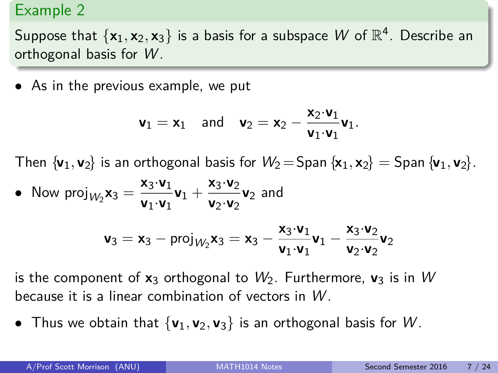Suppose that  $\{x_1, x_2, x_3\}$  is a basis for a subspace  $W$  of  $\mathbb{R}^4$ . Describe an orthogonal basis for  $W$ .

• As in the previous example, we put

$$
\textbf{v}_1 = \textbf{x}_1 \quad \text{and} \quad \textbf{v}_2 = \textbf{x}_2 - \frac{\textbf{x}_2 \cdot \textbf{v}_1}{\textbf{v}_1 \cdot \textbf{v}_1} \textbf{v}_1.
$$

Then  $\{v_1, v_2\}$  is an orthogonal basis for  $W_2 =$ Span  $\{x_1, x_2\} =$  Span  $\{v_1, v_2\}$ .

• Now proj<sub>*W*2</sub>**x**<sub>3</sub> =  $\frac{x_3 \cdot v_1}{v_1 \cdot v_2}$  $\frac{\mathsf{x}_3 \cdot \mathsf{v}_1}{\mathsf{v}_1 \cdot \mathsf{v}_1} \mathsf{v}_1 + \frac{\mathsf{x}_3 \cdot \mathsf{v}_2}{\mathsf{v}_2 \cdot \mathsf{v}_2}$  $\frac{x_3 \cdot z_2}{v_2 \cdot v_2}$  and

$$
\textbf{v}_3=\textbf{x}_3-\text{proj}_{W_2}\textbf{x}_3=\textbf{x}_3-\frac{\textbf{x}_3\cdot\textbf{v}_1}{\textbf{v}_1\cdot\textbf{v}_1}\textbf{v}_1-\frac{\textbf{x}_3\cdot\textbf{v}_2}{\textbf{v}_2\cdot\textbf{v}_2}\textbf{v}_2
$$

is the component of  $x_3$  orthogonal to  $W_2$ . Furthermore,  $v_3$  is in W because it is a linear combination of vectors in W .

• Thus we obtain that  $\{v_1, v_2, v_3\}$  is an orthogonal basis for W.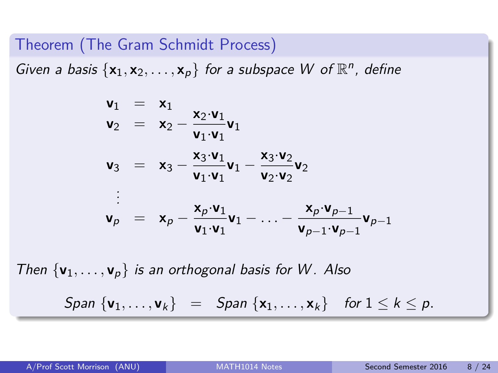Theorem (The Gram Schmidt Process)

Given a basis  $\{x_1, x_2, ..., x_p\}$  for a subspace W of  $\mathbb{R}^n$ , define

$$
\begin{array}{rcl}\n\mathbf{v}_1 & = & \mathbf{x}_1 \\
\mathbf{v}_2 & = & \mathbf{x}_2 - \frac{\mathbf{x}_2 \cdot \mathbf{v}_1}{\mathbf{v}_1 \cdot \mathbf{v}_1} \mathbf{v}_1 \\
\mathbf{v}_3 & = & \mathbf{x}_3 - \frac{\mathbf{x}_3 \cdot \mathbf{v}_1}{\mathbf{v}_1 \cdot \mathbf{v}_1} \mathbf{v}_1 - \frac{\mathbf{x}_3 \cdot \mathbf{v}_2}{\mathbf{v}_2} \mathbf{v}_2 \\
& \vdots \\
\mathbf{v}_p & = & \mathbf{x}_p - \frac{\mathbf{x}_p \cdot \mathbf{v}_1}{\mathbf{v}_1 \cdot \mathbf{v}_1} \mathbf{v}_1 - \ldots - \frac{\mathbf{x}_p \cdot \mathbf{v}_{p-1}}{\mathbf{v}_{p-1} \cdot \mathbf{v}_{p-1}} \mathbf{v}_{p-1}\n\end{array}
$$

Then  $\{v_1, \ldots, v_p\}$  is an orthogonal basis for W. Also  $\{S$ pan  $\{v_1, \ldots, v_k\}$  =  $S$ pan  $\{x_1, \ldots, x_k\}$  for  $1 \leq k \leq p$ .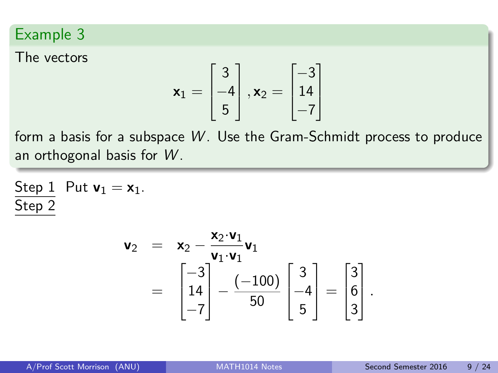The vectors

$$
\mathbf{x}_1 = \begin{bmatrix} 3 \\ -4 \\ 5 \end{bmatrix}, \mathbf{x}_2 = \begin{bmatrix} -3 \\ 14 \\ -7 \end{bmatrix}
$$

form a basis for a subspace  $W$ . Use the Gram-Schmidt process to produce an orthogonal basis for  $W$ .

Step 1 Put 
$$
\mathbf{v}_1 = \mathbf{x}_1
$$
.  
Step 2

$$
\mathbf{v}_2 = \mathbf{x}_2 - \frac{\mathbf{x}_2 \cdot \mathbf{v}_1}{\mathbf{v}_1 \cdot \mathbf{v}_1} \mathbf{v}_1
$$
  
= 
$$
\begin{bmatrix} -3 \\ 14 \\ -7 \end{bmatrix} - \frac{(-100)}{50} \begin{bmatrix} 3 \\ -4 \\ 5 \end{bmatrix} = \begin{bmatrix} 3 \\ 6 \\ 3 \end{bmatrix}.
$$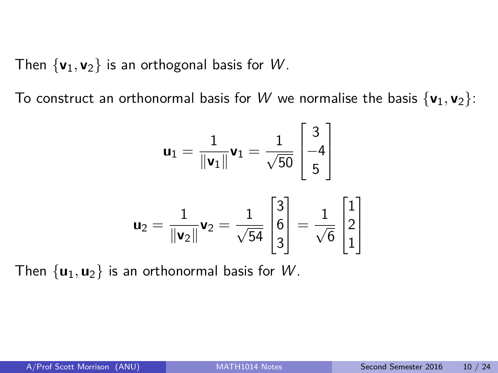Then  $\{v_1, v_2\}$  is an orthogonal basis for W.

To construct an orthonormal basis for W we normalise the basis  $\{v_1, v_2\}$ :

$$
\mathbf{u}_1 = \frac{1}{\|\mathbf{v}_1\|} \mathbf{v}_1 = \frac{1}{\sqrt{50}} \begin{bmatrix} 3 \\ -4 \\ 5 \end{bmatrix}
$$

$$
\mathbf{u}_2 = \frac{1}{\|\mathbf{v}_2\|} \mathbf{v}_2 = \frac{1}{\sqrt{54}} \begin{bmatrix} 3 \\ 6 \\ 3 \end{bmatrix} = \frac{1}{\sqrt{6}} \begin{bmatrix} 1 \\ 2 \\ 1 \end{bmatrix}
$$

Then  $\{u_1, u_2\}$  is an orthonormal basis for W.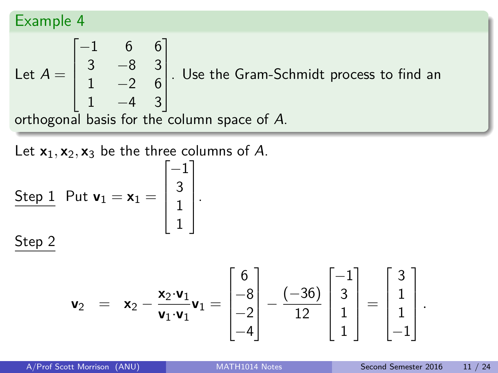Let 
$$
A = \begin{bmatrix} -1 & 6 & 6 \ 3 & -8 & 3 \ 1 & -2 & 6 \ 1 & -4 & 3 \end{bmatrix}
$$
. Use the Gram-Schmidt process to find an orthogonal basis for the column space of A.

Let  $x_1, x_2, x_3$  be the three columns of A.

Step 1 Put 
$$
\mathbf{v}_1 = \mathbf{x}_1 = \begin{bmatrix} -1 \\ 3 \\ 1 \\ 1 \end{bmatrix}
$$
.  
Step 2

$$
\mathbf{v}_2 = \mathbf{x}_2 - \frac{\mathbf{x}_2 \cdot \mathbf{v}_1}{\mathbf{v}_1 \cdot \mathbf{v}_1} \mathbf{v}_1 = \begin{bmatrix} 6 \\ -8 \\ -2 \\ -4 \end{bmatrix} - \frac{(-36)}{12} \begin{bmatrix} -1 \\ 3 \\ 1 \\ 1 \end{bmatrix} = \begin{bmatrix} 3 \\ 1 \\ 1 \\ -1 \end{bmatrix}
$$

*.*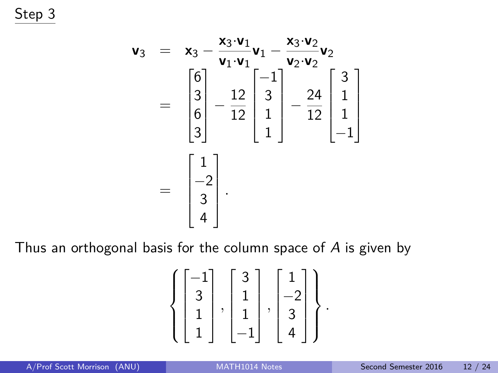Step 3

$$
\mathbf{v}_3 = \mathbf{x}_3 - \frac{\mathbf{x}_3 \cdot \mathbf{v}_1}{\mathbf{v}_1 \cdot \mathbf{v}_1} \mathbf{v}_1 - \frac{\mathbf{x}_3 \cdot \mathbf{v}_2}{\mathbf{v}_2 \cdot \mathbf{v}_2} \mathbf{v}_2
$$

$$
= \begin{bmatrix} 6 \\ 3 \\ 6 \\ 3 \end{bmatrix} - \frac{12}{12} \begin{bmatrix} -1 \\ 3 \\ 1 \\ 1 \end{bmatrix} - \frac{24}{12} \begin{bmatrix} 3 \\ 1 \\ 1 \\ -1 \end{bmatrix}
$$

$$
= \begin{bmatrix} 1 \\ -2 \\ 3 \\ 4 \end{bmatrix}.
$$

Thus an orthogonal basis for the column space of A is given by

$$
\left\{ \begin{bmatrix} -1 \\ 3 \\ 1 \\ 1 \end{bmatrix}, \begin{bmatrix} 3 \\ 1 \\ 1 \\ -1 \end{bmatrix}, \begin{bmatrix} 1 \\ -2 \\ 3 \\ 4 \end{bmatrix} \right\}.
$$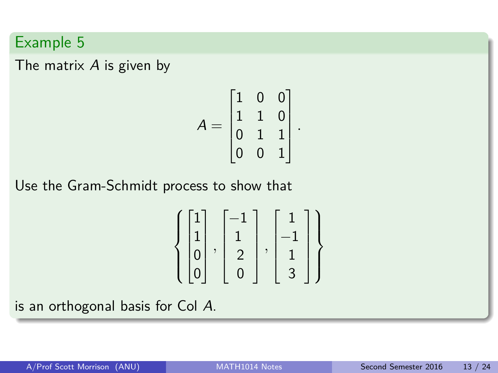The matrix  $A$  is given by

$$
A = \begin{bmatrix} 1 & 0 & 0 \\ 1 & 1 & 0 \\ 0 & 1 & 1 \\ 0 & 0 & 1 \end{bmatrix}
$$

*.*

Use the Gram-Schmidt process to show that

$$
\left\{ \begin{bmatrix} 1 \\ 1 \\ 0 \\ 0 \end{bmatrix}, \begin{bmatrix} -1 \\ 1 \\ 2 \\ 0 \end{bmatrix}, \begin{bmatrix} 1 \\ -1 \\ 1 \\ 3 \end{bmatrix} \right\}
$$

is an orthogonal basis for Col A.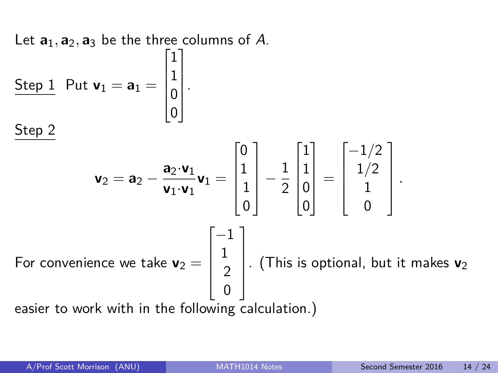Let  $\mathbf{a}_1, \mathbf{a}_2, \mathbf{a}_3$  be the three columns of A.

| Step 1                                                                                                                                                                                                                                                                                    | Put $\mathbf{v}_1 = \mathbf{a}_1 = \begin{bmatrix} 1 \\ 1 \\ 0 \\ 0 \end{bmatrix}$ . |
|-------------------------------------------------------------------------------------------------------------------------------------------------------------------------------------------------------------------------------------------------------------------------------------------|--------------------------------------------------------------------------------------|
| Step 2                                                                                                                                                                                                                                                                                    |                                                                                      |
| $\mathbf{v}_2 = \mathbf{a}_2 - \frac{\mathbf{a}_2 \cdot \mathbf{v}_1}{\mathbf{v}_1 \cdot \mathbf{v}_1} \mathbf{v}_1 = \begin{bmatrix} 0 \\ 1 \\ 1 \\ 0 \end{bmatrix} - \frac{1}{2} \begin{bmatrix} 1 \\ 1 \\ 0 \\ 0 \end{bmatrix} = \begin{bmatrix} -1/2 \\ 1/2 \\ 1 \\ 0 \end{bmatrix}.$ |                                                                                      |

\nFor convenience we take  $\mathbf{v}_2 = \begin{bmatrix} -1 \\ 1 \\ 2 \\ 0 \end{bmatrix}$ . (This is optional, but it makes  $\mathbf{v}_2$  easier to work with in the following calculation.)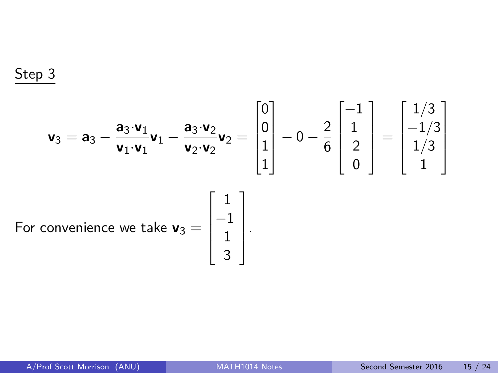Step 3

$$
\mathbf{v}_3 = \mathbf{a}_3 - \frac{\mathbf{a}_3 \cdot \mathbf{v}_1}{\mathbf{v}_1 \cdot \mathbf{v}_1} \mathbf{v}_1 - \frac{\mathbf{a}_3 \cdot \mathbf{v}_2}{\mathbf{v}_2 \cdot \mathbf{v}_2} \mathbf{v}_2 = \begin{bmatrix} 0 \\ 0 \\ 1 \\ 1 \end{bmatrix} - 0 - \frac{2}{6} \begin{bmatrix} -1 \\ 1 \\ 2 \\ 0 \end{bmatrix} = \begin{bmatrix} 1/3 \\ -1/3 \\ 1/3 \\ 1 \end{bmatrix}
$$
  
For convenience we take  $\mathbf{v}_3 = \begin{bmatrix} 1 \\ -1 \\ 1 \\ 3 \end{bmatrix}$ .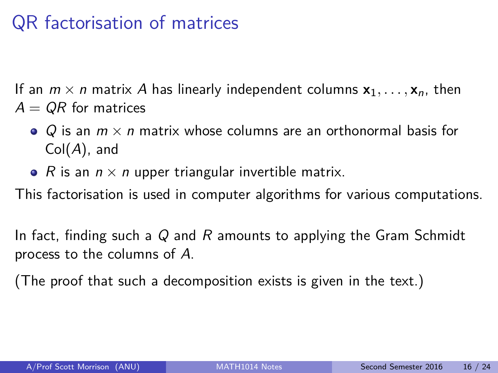# QR factorisation of matrices

If an  $m \times n$  matrix A has linearly independent columns  $x_1, \ldots, x_n$ , then  $A = QR$  for matrices

- Q is an  $m \times n$  matrix whose columns are an orthonormal basis for  $Col(A)$ , and
- R is an  $n \times n$  upper triangular invertible matrix.

This factorisation is used in computer algorithms for various computations.

In fact, finding such a  $Q$  and  $R$  amounts to applying the Gram Schmidt process to the columns of A.

(The proof that such a decomposition exists is given in the text.)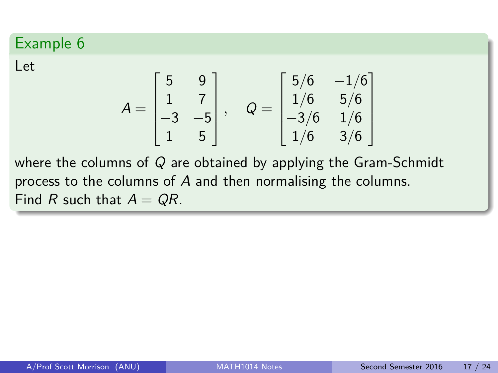Let

$$
A = \begin{bmatrix} 5 & 9 \\ 1 & 7 \\ -3 & -5 \\ 1 & 5 \end{bmatrix}, \quad Q = \begin{bmatrix} 5/6 & -1/6 \\ 1/6 & 5/6 \\ -3/6 & 1/6 \\ 1/6 & 3/6 \end{bmatrix}
$$

where the columns of  $Q$  are obtained by applying the Gram-Schmidt process to the columns of A and then normalising the columns. Find R such that  $A = QR$ .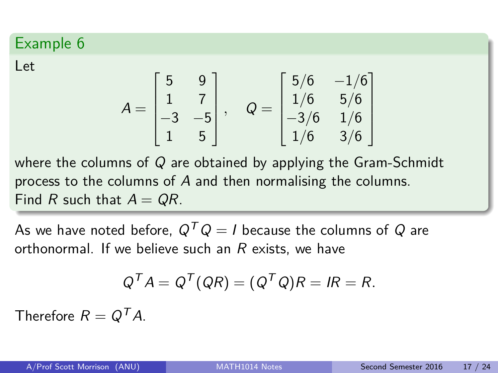Let

$$
A = \begin{bmatrix} 5 & 9 \\ 1 & 7 \\ -3 & -5 \\ 1 & 5 \end{bmatrix}, \quad Q = \begin{bmatrix} 5/6 & -1/6 \\ 1/6 & 5/6 \\ -3/6 & 1/6 \\ 1/6 & 3/6 \end{bmatrix}
$$

where the columns of  $Q$  are obtained by applying the Gram-Schmidt process to the columns of A and then normalising the columns. Find R such that  $A = QR$ .

As we have noted before,  $Q^T Q = I$  because the columns of Q are orthonormal. If we believe such an  $R$  exists, we have

$$
Q^T A = Q^T (QR) = (Q^T Q) R = IR = R.
$$

Therefore  $R = Q^{T} A$ .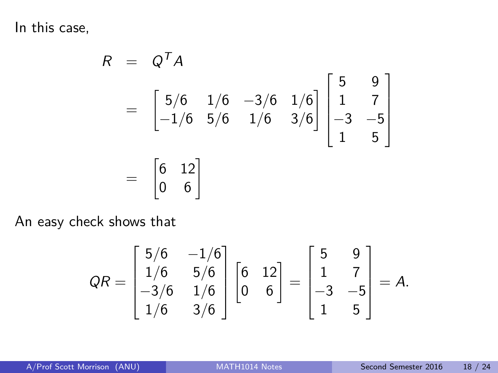In this case,

$$
R = QT A
$$
  
=  $\begin{bmatrix} 5/6 & 1/6 & -3/6 & 1/6 \\ -1/6 & 5/6 & 1/6 & 3/6 \end{bmatrix} \begin{bmatrix} 5 & 9 \\ 1 & 7 \\ -3 & -5 \\ 1 & 5 \end{bmatrix}$   
=  $\begin{bmatrix} 6 & 12 \\ 0 & 6 \end{bmatrix}$ 

An easy check shows that

$$
QR = \begin{bmatrix} 5/6 & -1/6 \\ 1/6 & 5/6 \\ -3/6 & 1/6 \\ 1/6 & 3/6 \end{bmatrix} \begin{bmatrix} 6 & 12 \\ 0 & 6 \end{bmatrix} = \begin{bmatrix} 5 & 9 \\ 1 & 7 \\ -3 & -5 \\ 1 & 5 \end{bmatrix} = A.
$$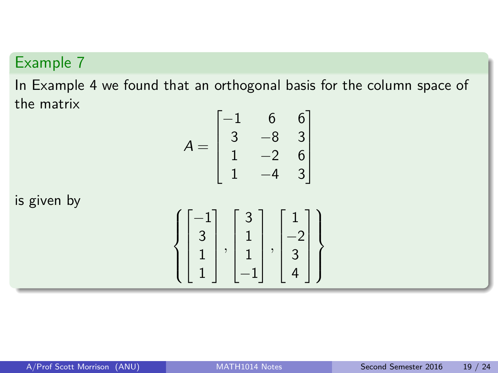In Example 4 we found that an orthogonal basis for the column space of the matrix

$$
A = \begin{bmatrix} -1 & 6 & 6 \\ 3 & -8 & 3 \\ 1 & -2 & 6 \\ 1 & -4 & 3 \end{bmatrix}
$$

is given by

$$
\left\{ \begin{bmatrix} -1 \\ 3 \\ 1 \\ 1 \end{bmatrix}, \begin{bmatrix} 3 \\ 1 \\ 1 \\ -1 \end{bmatrix}, \begin{bmatrix} 1 \\ -2 \\ 3 \\ 4 \end{bmatrix} \right\}
$$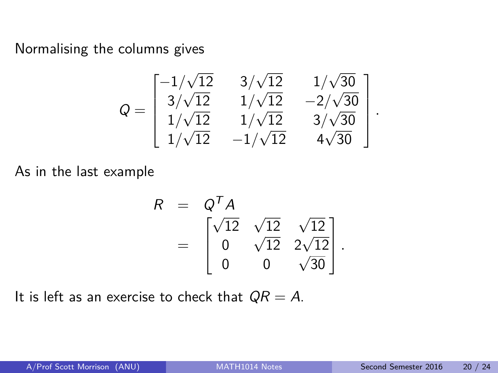Normalising the columns gives

$$
Q = \begin{bmatrix} -1/\sqrt{12} & 3/\sqrt{12} & 1/\sqrt{30} \\ 3/\sqrt{12} & 1/\sqrt{12} & -2/\sqrt{30} \\ 1/\sqrt{12} & 1/\sqrt{12} & 3/\sqrt{30} \\ 1/\sqrt{12} & -1/\sqrt{12} & 4\sqrt{30} \end{bmatrix}
$$

As in the last example

$$
R = Q^{T} A
$$
  
= 
$$
\begin{bmatrix} \sqrt{12} & \sqrt{12} & \sqrt{12} \\ 0 & \sqrt{12} & 2\sqrt{12} \\ 0 & 0 & \sqrt{30} \end{bmatrix}.
$$

It is left as an exercise to check that  $QR = A$ .

*.*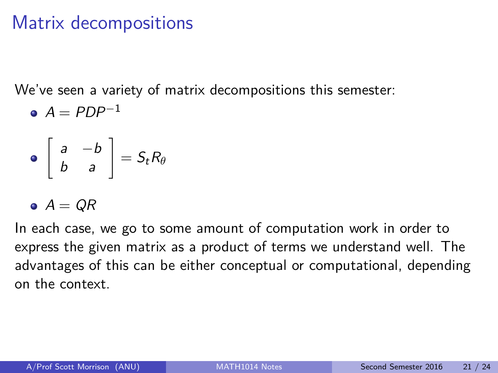## Matrix decompositions

We've seen a variety of matrix decompositions this semester:

$$
\bullet \ \ A = PDP^{-1}
$$

$$
\bullet \left[ \begin{array}{cc} a & -b \\ b & a \end{array} \right] = S_t R_\theta
$$

$$
\bullet \ \ A = \ \overline{QR}
$$

In each case, we go to some amount of computation work in order to express the given matrix as a product of terms we understand well. The advantages of this can be either conceptual or computational, depending on the context.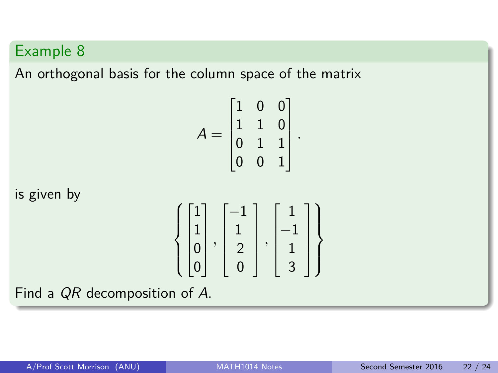An orthogonal basis for the column space of the matrix

$$
A = \begin{bmatrix} 1 & 0 & 0 \\ 1 & 1 & 0 \\ 0 & 1 & 1 \\ 0 & 0 & 1 \end{bmatrix}.
$$

is given by

$$
\left\{ \begin{bmatrix} 1 \\ 1 \\ 0 \\ 0 \end{bmatrix}, \begin{bmatrix} -1 \\ 1 \\ 2 \\ 0 \end{bmatrix}, \begin{bmatrix} 1 \\ -1 \\ 1 \\ 3 \end{bmatrix} \right\}
$$

Find a QR decomposition of A.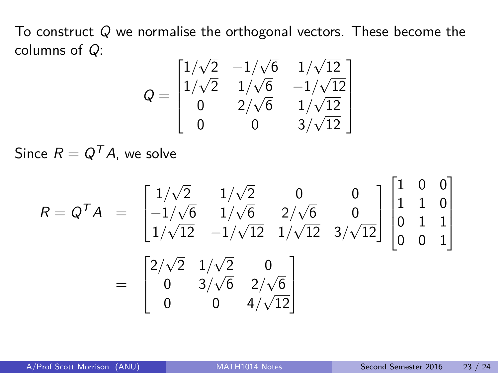To construct Q we normalise the orthogonal vectors. These become the columns of Q: √ √ √

$$
Q = \begin{bmatrix} 1/\sqrt{2} & -1/\sqrt{6} & 1/\sqrt{12} \\ 1/\sqrt{2} & 1/\sqrt{6} & -1/\sqrt{12} \\ 0 & 2/\sqrt{6} & 1/\sqrt{12} \\ 0 & 0 & 3/\sqrt{12} \end{bmatrix}
$$

Since  $R = Q^T A$ , we solve

$$
R = Q^{T}A = \begin{bmatrix} 1/\sqrt{2} & 1/\sqrt{2} & 0 & 0 \\ -1/\sqrt{6} & 1/\sqrt{6} & 2/\sqrt{6} & 0 \\ 1/\sqrt{12} & -1/\sqrt{12} & 1/\sqrt{12} & 3/\sqrt{12} \end{bmatrix} \begin{bmatrix} 1 & 0 & 0 \\ 1 & 1 & 0 \\ 0 & 1 & 1 \\ 0 & 0 & 1 \end{bmatrix}
$$

$$
= \begin{bmatrix} 2/\sqrt{2} & 1/\sqrt{2} & 0 \\ 0 & 3/\sqrt{6} & 2/\sqrt{6} \\ 0 & 0 & 4/\sqrt{12} \end{bmatrix}
$$